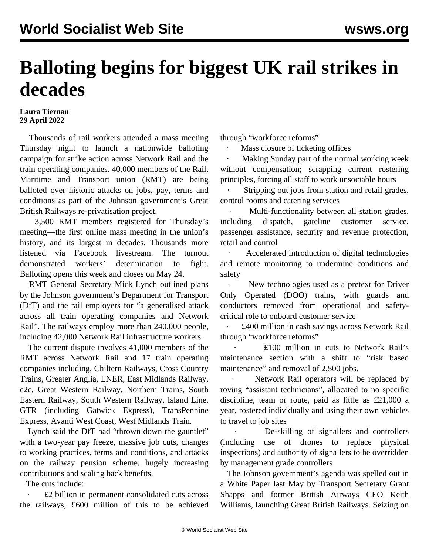## **Balloting begins for biggest UK rail strikes in decades**

## **Laura Tiernan 29 April 2022**

 Thousands of rail workers attended a mass meeting Thursday night to launch a nationwide balloting campaign for strike action across Network Rail and the train operating companies. 40,000 members of the Rail, Maritime and Transport union (RMT) are being balloted over historic attacks on jobs, pay, terms and conditions as part of the Johnson government's Great British Railways re-privatisation project.

 3,500 RMT members registered for Thursday's meeting—the first online mass meeting in the union's history, and its largest in decades. Thousands more listened via Facebook livestream. The turnout demonstrated workers' determination to fight. Balloting opens this week and closes on May 24.

 RMT General Secretary Mick Lynch outlined plans by the Johnson government's Department for Transport (DfT) and the rail employers for "a generalised attack across all train operating companies and Network Rail". The railways employ more than 240,000 people, including 42,000 Network Rail infrastructure workers.

 The current dispute involves 41,000 members of the RMT across Network Rail and 17 train operating companies including, Chiltern Railways, Cross Country Trains, Greater Anglia, LNER, East Midlands Railway, c2c, Great Western Railway, Northern Trains, South Eastern Railway, South Western Railway, Island Line, GTR (including Gatwick Express), TransPennine Express, Avanti West Coast, West Midlands Train.

 Lynch said the DfT had "thrown down the gauntlet" with a two-year pay freeze, massive job cuts, changes to working practices, terms and conditions, and attacks on the railway pension scheme, hugely increasing contributions and scaling back benefits.

The cuts include:

 · £2 billion in permanent consolidated cuts across the railways, £600 million of this to be achieved through "workforce reforms"

Mass closure of ticketing offices

Making Sunday part of the normal working week without compensation; scrapping current rostering principles, forcing all staff to work unsociable hours

Stripping out jobs from station and retail grades, control rooms and catering services

Multi-functionality between all station grades, including dispatch, gateline customer service, passenger assistance, security and revenue protection, retail and control

Accelerated introduction of digital technologies and remote monitoring to undermine conditions and safety

New technologies used as a pretext for Driver Only Operated (DOO) trains, with guards and conductors removed from operational and safetycritical role to onboard customer service

 · £400 million in cash savings across Network Rail through "workforce reforms"

 · £100 million in cuts to Network Rail's maintenance section with a shift to "risk based maintenance" and removal of 2,500 jobs.

Network Rail operators will be replaced by roving "assistant technicians", allocated to no specific discipline, team or route, paid as little as £21,000 a year, rostered individually and using their own vehicles to travel to job sites

De-skilling of signallers and controllers (including use of drones to replace physical inspections) and authority of signallers to be overridden by management grade controllers

 The Johnson government's agenda was spelled out in a White Paper last May by Transport Secretary Grant Shapps and former British Airways CEO Keith Williams, launching Great British Railways. Seizing on